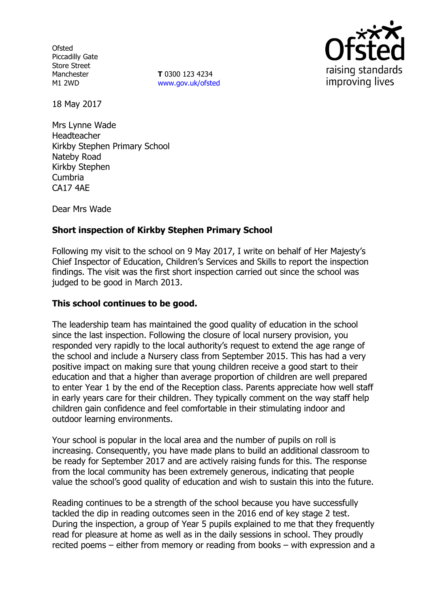**Ofsted** Piccadilly Gate Store Street Manchester M1 2WD

**T** 0300 123 4234 [www.gov.uk/ofsted](http://www.gov.uk/ofsted)



18 May 2017

Mrs Lynne Wade Headteacher Kirkby Stephen Primary School Nateby Road Kirkby Stephen Cumbria CA17 4AE

Dear Mrs Wade

# **Short inspection of Kirkby Stephen Primary School**

Following my visit to the school on 9 May 2017, I write on behalf of Her Majesty's Chief Inspector of Education, Children's Services and Skills to report the inspection findings. The visit was the first short inspection carried out since the school was judged to be good in March 2013.

### **This school continues to be good.**

The leadership team has maintained the good quality of education in the school since the last inspection. Following the closure of local nursery provision, you responded very rapidly to the local authority's request to extend the age range of the school and include a Nursery class from September 2015. This has had a very positive impact on making sure that young children receive a good start to their education and that a higher than average proportion of children are well prepared to enter Year 1 by the end of the Reception class. Parents appreciate how well staff in early years care for their children. They typically comment on the way staff help children gain confidence and feel comfortable in their stimulating indoor and outdoor learning environments.

Your school is popular in the local area and the number of pupils on roll is increasing. Consequently, you have made plans to build an additional classroom to be ready for September 2017 and are actively raising funds for this. The response from the local community has been extremely generous, indicating that people value the school's good quality of education and wish to sustain this into the future.

Reading continues to be a strength of the school because you have successfully tackled the dip in reading outcomes seen in the 2016 end of key stage 2 test. During the inspection, a group of Year 5 pupils explained to me that they frequently read for pleasure at home as well as in the daily sessions in school. They proudly recited poems – either from memory or reading from books – with expression and a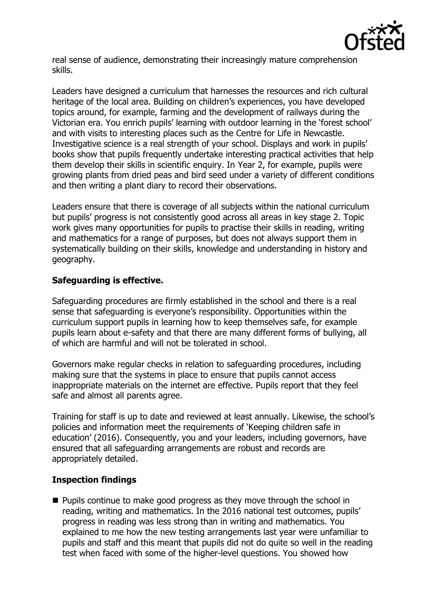

real sense of audience, demonstrating their increasingly mature comprehension skills.

Leaders have designed a curriculum that harnesses the resources and rich cultural heritage of the local area. Building on children's experiences, you have developed topics around, for example, farming and the development of railways during the Victorian era. You enrich pupils' learning with outdoor learning in the 'forest school' and with visits to interesting places such as the Centre for Life in Newcastle. Investigative science is a real strength of your school. Displays and work in pupils' books show that pupils frequently undertake interesting practical activities that help them develop their skills in scientific enquiry. In Year 2, for example, pupils were growing plants from dried peas and bird seed under a variety of different conditions and then writing a plant diary to record their observations.

Leaders ensure that there is coverage of all subjects within the national curriculum but pupils' progress is not consistently good across all areas in key stage 2. Topic work gives many opportunities for pupils to practise their skills in reading, writing and mathematics for a range of purposes, but does not always support them in systematically building on their skills, knowledge and understanding in history and geography.

# **Safeguarding is effective.**

Safeguarding procedures are firmly established in the school and there is a real sense that safeguarding is everyone's responsibility. Opportunities within the curriculum support pupils in learning how to keep themselves safe, for example pupils learn about e-safety and that there are many different forms of bullying, all of which are harmful and will not be tolerated in school.

Governors make regular checks in relation to safeguarding procedures, including making sure that the systems in place to ensure that pupils cannot access inappropriate materials on the internet are effective. Pupils report that they feel safe and almost all parents agree.

Training for staff is up to date and reviewed at least annually. Likewise, the school's policies and information meet the requirements of 'Keeping children safe in education' (2016). Consequently, you and your leaders, including governors, have ensured that all safeguarding arrangements are robust and records are appropriately detailed.

### **Inspection findings**

**Pupils continue to make good progress as they move through the school in** reading, writing and mathematics. In the 2016 national test outcomes, pupils' progress in reading was less strong than in writing and mathematics. You explained to me how the new testing arrangements last year were unfamiliar to pupils and staff and this meant that pupils did not do quite so well in the reading test when faced with some of the higher-level questions. You showed how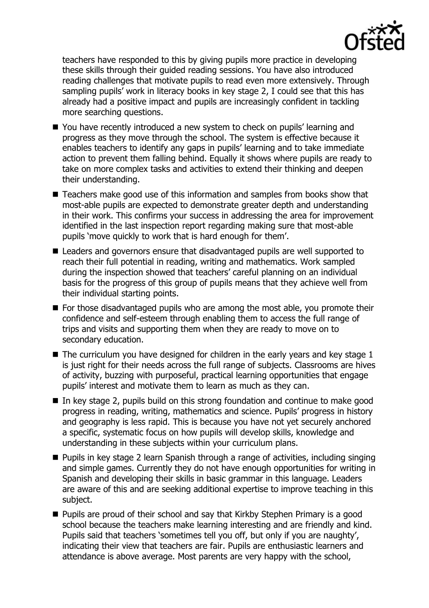

teachers have responded to this by giving pupils more practice in developing these skills through their guided reading sessions. You have also introduced reading challenges that motivate pupils to read even more extensively. Through sampling pupils' work in literacy books in key stage 2, I could see that this has already had a positive impact and pupils are increasingly confident in tackling more searching questions.

- You have recently introduced a new system to check on pupils' learning and progress as they move through the school. The system is effective because it enables teachers to identify any gaps in pupils' learning and to take immediate action to prevent them falling behind. Equally it shows where pupils are ready to take on more complex tasks and activities to extend their thinking and deepen their understanding.
- Teachers make good use of this information and samples from books show that most-able pupils are expected to demonstrate greater depth and understanding in their work. This confirms your success in addressing the area for improvement identified in the last inspection report regarding making sure that most-able pupils 'move quickly to work that is hard enough for them'.
- Leaders and governors ensure that disadvantaged pupils are well supported to reach their full potential in reading, writing and mathematics. Work sampled during the inspection showed that teachers' careful planning on an individual basis for the progress of this group of pupils means that they achieve well from their individual starting points.
- **For those disadvantaged pupils who are among the most able, you promote their** confidence and self-esteem through enabling them to access the full range of trips and visits and supporting them when they are ready to move on to secondary education.
- $\blacksquare$  The curriculum you have designed for children in the early years and key stage 1 is just right for their needs across the full range of subjects. Classrooms are hives of activity, buzzing with purposeful, practical learning opportunities that engage pupils' interest and motivate them to learn as much as they can.
- $\blacksquare$  In key stage 2, pupils build on this strong foundation and continue to make good progress in reading, writing, mathematics and science. Pupils' progress in history and geography is less rapid. This is because you have not yet securely anchored a specific, systematic focus on how pupils will develop skills, knowledge and understanding in these subjects within your curriculum plans.
- Pupils in key stage 2 learn Spanish through a range of activities, including singing and simple games. Currently they do not have enough opportunities for writing in Spanish and developing their skills in basic grammar in this language. Leaders are aware of this and are seeking additional expertise to improve teaching in this subject.
- **Pupils are proud of their school and say that Kirkby Stephen Primary is a good** school because the teachers make learning interesting and are friendly and kind. Pupils said that teachers 'sometimes tell you off, but only if you are naughty', indicating their view that teachers are fair. Pupils are enthusiastic learners and attendance is above average. Most parents are very happy with the school,